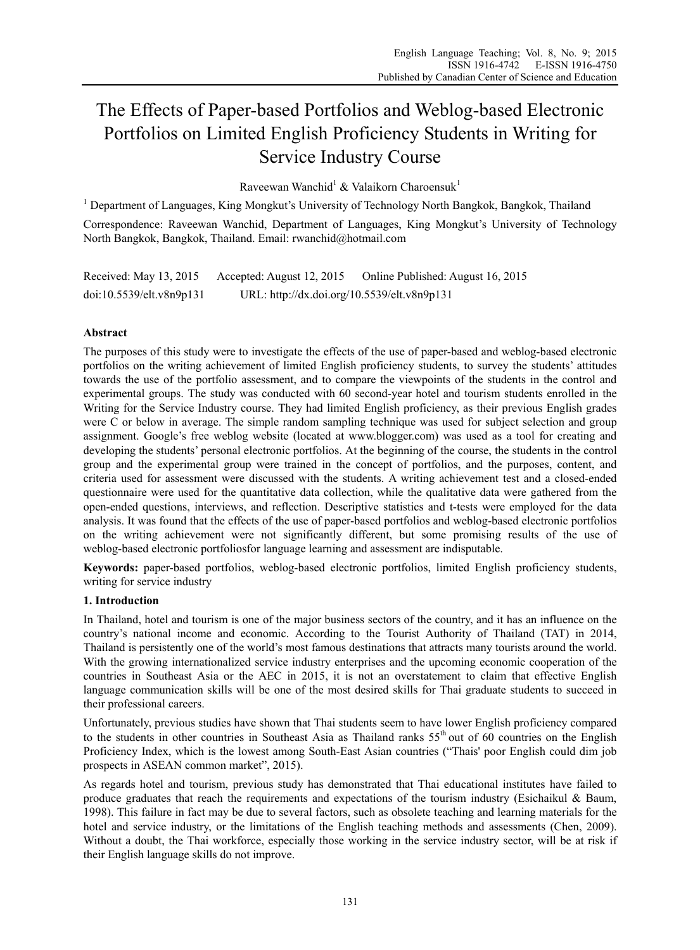# The Effects of Paper-based Portfolios and Weblog-based Electronic Portfolios on Limited English Proficiency Students in Writing for Service Industry Course

Raveewan Wanchid<sup>1</sup> & Valaikorn Charoensuk<sup>1</sup>

<sup>1</sup> Department of Languages, King Mongkut's University of Technology North Bangkok, Bangkok, Thailand Correspondence: Raveewan Wanchid, Department of Languages, King Mongkut's University of Technology North Bangkok, Bangkok, Thailand. Email: rwanchid@hotmail.com

Received: May 13, 2015 Accepted: August 12, 2015 Online Published: August 16, 2015 doi:10.5539/elt.v8n9p131 URL: http://dx.doi.org/10.5539/elt.v8n9p131

# **Abstract**

The purposes of this study were to investigate the effects of the use of paper-based and weblog-based electronic portfolios on the writing achievement of limited English proficiency students, to survey the students' attitudes towards the use of the portfolio assessment, and to compare the viewpoints of the students in the control and experimental groups. The study was conducted with 60 second-year hotel and tourism students enrolled in the Writing for the Service Industry course. They had limited English proficiency, as their previous English grades were C or below in average. The simple random sampling technique was used for subject selection and group assignment. Google's free weblog website (located at www.blogger.com) was used as a tool for creating and developing the students' personal electronic portfolios. At the beginning of the course, the students in the control group and the experimental group were trained in the concept of portfolios, and the purposes, content, and criteria used for assessment were discussed with the students. A writing achievement test and a closed-ended questionnaire were used for the quantitative data collection, while the qualitative data were gathered from the open-ended questions, interviews, and reflection. Descriptive statistics and t-tests were employed for the data analysis. It was found that the effects of the use of paper-based portfolios and weblog-based electronic portfolios on the writing achievement were not significantly different, but some promising results of the use of weblog-based electronic portfoliosfor language learning and assessment are indisputable.

**Keywords:** paper-based portfolios, weblog-based electronic portfolios, limited English proficiency students, writing for service industry

# **1. Introduction**

In Thailand, hotel and tourism is one of the major business sectors of the country, and it has an influence on the country's national income and economic. According to the Tourist Authority of Thailand (TAT) in 2014, Thailand is persistently one of the world's most famous destinations that attracts many tourists around the world. With the growing internationalized service industry enterprises and the upcoming economic cooperation of the countries in Southeast Asia or the AEC in 2015, it is not an overstatement to claim that effective English language communication skills will be one of the most desired skills for Thai graduate students to succeed in their professional careers.

Unfortunately, previous studies have shown that Thai students seem to have lower English proficiency compared to the students in other countries in Southeast Asia as Thailand ranks  $55<sup>th</sup>$  out of 60 countries on the English Proficiency Index, which is the lowest among South-East Asian countries ("Thais' poor English could dim job prospects in ASEAN common market", 2015).

As regards hotel and tourism, previous study has demonstrated that Thai educational institutes have failed to produce graduates that reach the requirements and expectations of the tourism industry (Esichaikul & Baum, 1998). This failure in fact may be due to several factors, such as obsolete teaching and learning materials for the hotel and service industry, or the limitations of the English teaching methods and assessments (Chen, 2009). Without a doubt, the Thai workforce, especially those working in the service industry sector, will be at risk if their English language skills do not improve.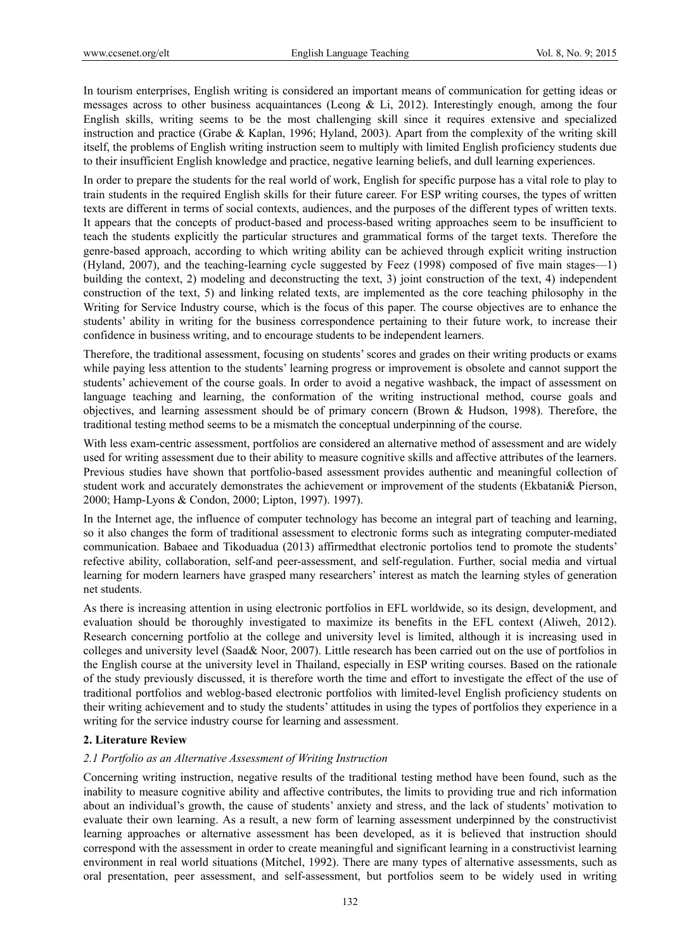In tourism enterprises, English writing is considered an important means of communication for getting ideas or messages across to other business acquaintances (Leong & Li, 2012). Interestingly enough, among the four English skills, writing seems to be the most challenging skill since it requires extensive and specialized instruction and practice (Grabe & Kaplan, 1996; Hyland, 2003). Apart from the complexity of the writing skill itself, the problems of English writing instruction seem to multiply with limited English proficiency students due to their insufficient English knowledge and practice, negative learning beliefs, and dull learning experiences.

In order to prepare the students for the real world of work, English for specific purpose has a vital role to play to train students in the required English skills for their future career. For ESP writing courses, the types of written texts are different in terms of social contexts, audiences, and the purposes of the different types of written texts. It appears that the concepts of product-based and process-based writing approaches seem to be insufficient to teach the students explicitly the particular structures and grammatical forms of the target texts. Therefore the genre-based approach, according to which writing ability can be achieved through explicit writing instruction (Hyland, 2007), and the teaching-learning cycle suggested by Feez (1998) composed of five main stages—1) building the context, 2) modeling and deconstructing the text, 3) joint construction of the text, 4) independent construction of the text, 5) and linking related texts, are implemented as the core teaching philosophy in the Writing for Service Industry course, which is the focus of this paper. The course objectives are to enhance the students' ability in writing for the business correspondence pertaining to their future work, to increase their confidence in business writing, and to encourage students to be independent learners.

Therefore, the traditional assessment, focusing on students' scores and grades on their writing products or exams while paying less attention to the students' learning progress or improvement is obsolete and cannot support the students' achievement of the course goals. In order to avoid a negative washback, the impact of assessment on language teaching and learning, the conformation of the writing instructional method, course goals and objectives, and learning assessment should be of primary concern (Brown & Hudson, 1998). Therefore, the traditional testing method seems to be a mismatch the conceptual underpinning of the course.

With less exam-centric assessment, portfolios are considered an alternative method of assessment and are widely used for writing assessment due to their ability to measure cognitive skills and affective attributes of the learners. Previous studies have shown that portfolio-based assessment provides authentic and meaningful collection of student work and accurately demonstrates the achievement or improvement of the students (Ekbatani& Pierson, 2000; Hamp-Lyons & Condon, 2000; Lipton, 1997). 1997).

In the Internet age, the influence of computer technology has become an integral part of teaching and learning, so it also changes the form of traditional assessment to electronic forms such as integrating computer-mediated communication. Babaee and Tikoduadua (2013) affirmedthat electronic portolios tend to promote the students' refective ability, collaboration, self-and peer-assessment, and self-regulation. Further, social media and virtual learning for modern learners have grasped many researchers' interest as match the learning styles of generation net students.

As there is increasing attention in using electronic portfolios in EFL worldwide, so its design, development, and evaluation should be thoroughly investigated to maximize its benefits in the EFL context (Aliweh, 2012). Research concerning portfolio at the college and university level is limited, although it is increasing used in colleges and university level (Saad& Noor, 2007). Little research has been carried out on the use of portfolios in the English course at the university level in Thailand, especially in ESP writing courses. Based on the rationale of the study previously discussed, it is therefore worth the time and effort to investigate the effect of the use of traditional portfolios and weblog-based electronic portfolios with limited-level English proficiency students on their writing achievement and to study the students' attitudes in using the types of portfolios they experience in a writing for the service industry course for learning and assessment.

## **2. Literature Review**

## *2.1 Portfolio as an Alternative Assessment of Writing Instruction*

Concerning writing instruction, negative results of the traditional testing method have been found, such as the inability to measure cognitive ability and affective contributes, the limits to providing true and rich information about an individual's growth, the cause of students' anxiety and stress, and the lack of students' motivation to evaluate their own learning. As a result, a new form of learning assessment underpinned by the constructivist learning approaches or alternative assessment has been developed, as it is believed that instruction should correspond with the assessment in order to create meaningful and significant learning in a constructivist learning environment in real world situations (Mitchel, 1992). There are many types of alternative assessments, such as oral presentation, peer assessment, and self-assessment, but portfolios seem to be widely used in writing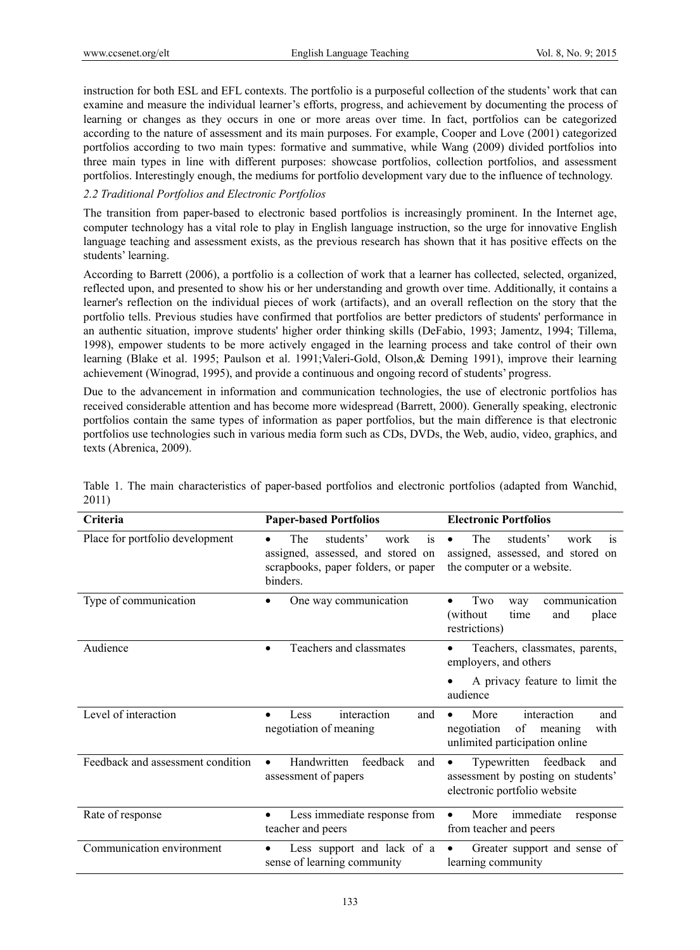instruction for both ESL and EFL contexts. The portfolio is a purposeful collection of the students' work that can examine and measure the individual learner's efforts, progress, and achievement by documenting the process of learning or changes as they occurs in one or more areas over time. In fact, portfolios can be categorized according to the nature of assessment and its main purposes. For example, Cooper and Love (2001) categorized portfolios according to two main types: formative and summative, while Wang (2009) divided portfolios into three main types in line with different purposes: showcase portfolios, collection portfolios, and assessment portfolios. Interestingly enough, the mediums for portfolio development vary due to the influence of technology.

## *2.2 Traditional Portfolios and Electronic Portfolios*

The transition from paper-based to electronic based portfolios is increasingly prominent. In the Internet age, computer technology has a vital role to play in English language instruction, so the urge for innovative English language teaching and assessment exists, as the previous research has shown that it has positive effects on the students' learning.

According to Barrett (2006), a portfolio is a collection of work that a learner has collected, selected, organized, reflected upon, and presented to show his or her understanding and growth over time. Additionally, it contains a learner's reflection on the individual pieces of work (artifacts), and an overall reflection on the story that the portfolio tells. Previous studies have confirmed that portfolios are better predictors of students' performance in an authentic situation, improve students' higher order thinking skills (DeFabio, 1993; Jamentz, 1994; Tillema, 1998), empower students to be more actively engaged in the learning process and take control of their own learning (Blake et al. 1995; Paulson et al. 1991; Valeri-Gold, Olson, & Deming 1991), improve their learning achievement (Winograd, 1995), and provide a continuous and ongoing record of students' progress.

Due to the advancement in information and communication technologies, the use of electronic portfolios has received considerable attention and has become more widespread (Barrett, 2000). Generally speaking, electronic portfolios contain the same types of information as paper portfolios, but the main difference is that electronic portfolios use technologies such in various media form such as CDs, DVDs, the Web, audio, video, graphics, and texts (Abrenica, 2009).

| Criteria                          | <b>Paper-based Portfolios</b>                                                                                          | <b>Electronic Portfolios</b>                                                                                   |
|-----------------------------------|------------------------------------------------------------------------------------------------------------------------|----------------------------------------------------------------------------------------------------------------|
| Place for portfolio development   | students'<br>The<br>work<br>is<br>assigned, assessed, and stored on<br>scrapbooks, paper folders, or paper<br>binders. | The<br>students'<br>work<br><i>is</i><br>assigned, assessed, and stored on<br>the computer or a website.       |
| Type of communication             | One way communication<br>٠                                                                                             | communication<br>Two<br>way<br>٠<br>(without)<br>time<br>and<br>place<br>restrictions)                         |
| Audience                          | Teachers and classmates<br>$\bullet$                                                                                   | Teachers, classmates, parents,<br>employers, and others                                                        |
|                                   |                                                                                                                        | A privacy feature to limit the<br>audience                                                                     |
| Level of interaction              | interaction<br>and<br>Less<br>٠<br>negotiation of meaning                                                              | interaction<br>More<br>and<br>of<br>negotiation<br>with<br>meaning<br>unlimited participation online           |
| Feedback and assessment condition | Handwritten<br>feedback<br>and<br>assessment of papers                                                                 | Typewritten feedback<br>and<br>$\bullet$<br>assessment by posting on students'<br>electronic portfolio website |
| Rate of response                  | Less immediate response from<br>$\bullet$<br>teacher and peers                                                         | More<br>immediate<br>response<br>$\bullet$<br>from teacher and peers                                           |
| Communication environment         | Less support and lack of a<br>$\bullet$<br>sense of learning community                                                 | Greater support and sense of<br>$\bullet$<br>learning community                                                |

Table 1. The main characteristics of paper-based portfolios and electronic portfolios (adapted from Wanchid, 2011)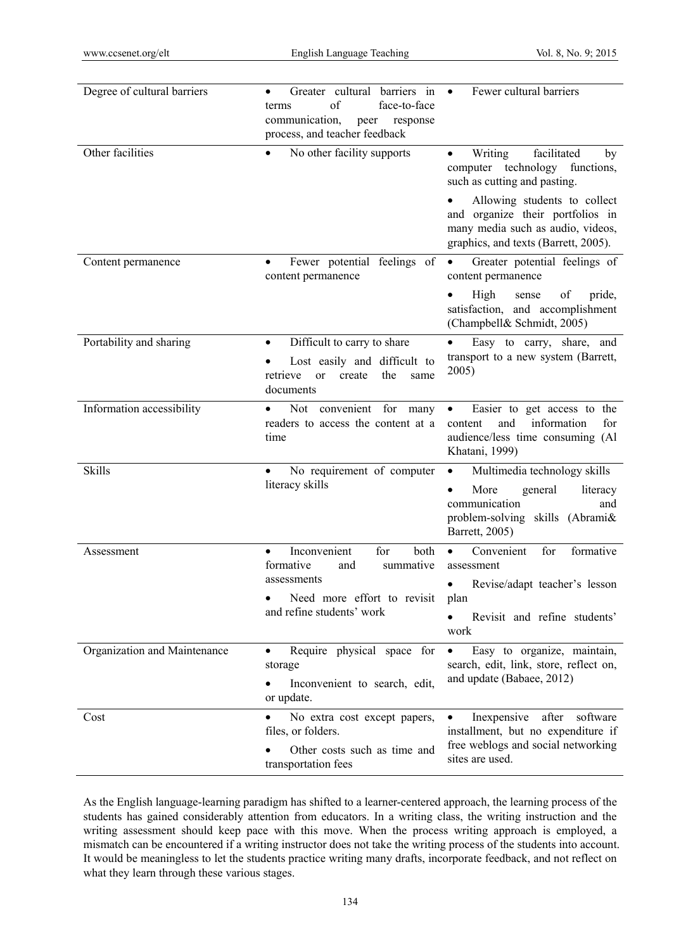| Degree of cultural barriers  | Greater cultural barriers in<br>of<br>face-to-face<br>terms<br>communication,<br>response<br>peer<br>process, and teacher feedback | Fewer cultural barriers                                                                                                                               |
|------------------------------|------------------------------------------------------------------------------------------------------------------------------------|-------------------------------------------------------------------------------------------------------------------------------------------------------|
| Other facilities             | No other facility supports                                                                                                         | facilitated<br>Writing<br>by<br>computer technology functions,<br>such as cutting and pasting.                                                        |
|                              |                                                                                                                                    | Allowing students to collect<br>and organize their portfolios in<br>many media such as audio, videos,<br>graphics, and texts (Barrett, 2005).         |
| Content permanence           | Fewer potential feelings of<br>٠<br>content permanence                                                                             | Greater potential feelings of<br>content permanence                                                                                                   |
|                              |                                                                                                                                    | High<br>of<br>sense<br>pride,<br>satisfaction, and accomplishment<br>(Champbell& Schmidt, 2005)                                                       |
| Portability and sharing      | Difficult to carry to share<br>$\bullet$                                                                                           | Easy to carry, share, and<br>$\bullet$                                                                                                                |
|                              | Lost easily and difficult to<br>retrieve<br>the<br>or<br>create<br>same<br>documents                                               | transport to a new system (Barrett,<br>2005)                                                                                                          |
| Information accessibility    | Not convenient for many<br>readers to access the content at a<br>time                                                              | Easier to get access to the<br>information<br>and<br>for<br>content<br>audience/less time consuming (Al<br>Khatani, 1999)                             |
| <b>Skills</b>                | No requirement of computer<br>literacy skills                                                                                      | Multimedia technology skills<br>$\bullet$<br>More<br>general<br>literacy<br>communication<br>and<br>problem-solving skills (Abrami&<br>Barrett, 2005) |
| Assessment                   | for<br>Inconvenient<br>both<br>$\bullet$<br>formative<br>summative<br>and<br>assessments                                           | Convenient<br>for<br>formative<br>assessment                                                                                                          |
|                              | Need more effort to revisit<br>and refine students' work                                                                           | Revise/adapt teacher's lesson<br>plan<br>Revisit and refine students'<br>work                                                                         |
| Organization and Maintenance | Require physical space for<br>$\bullet$<br>storage<br>Inconvenient to search, edit,<br>or update.                                  | Easy to organize, maintain,<br>٠<br>search, edit, link, store, reflect on,<br>and update (Babaee, 2012)                                               |
| Cost                         | No extra cost except papers,<br>files, or folders.                                                                                 | Inexpensive<br>after<br>software<br>$\bullet$<br>installment, but no expenditure if                                                                   |
|                              | Other costs such as time and<br>transportation fees                                                                                | free weblogs and social networking<br>sites are used.                                                                                                 |

As the English language-learning paradigm has shifted to a learner-centered approach, the learning process of the students has gained considerably attention from educators. In a writing class, the writing instruction and the writing assessment should keep pace with this move. When the process writing approach is employed, a mismatch can be encountered if a writing instructor does not take the writing process of the students into account. It would be meaningless to let the students practice writing many drafts, incorporate feedback, and not reflect on what they learn through these various stages.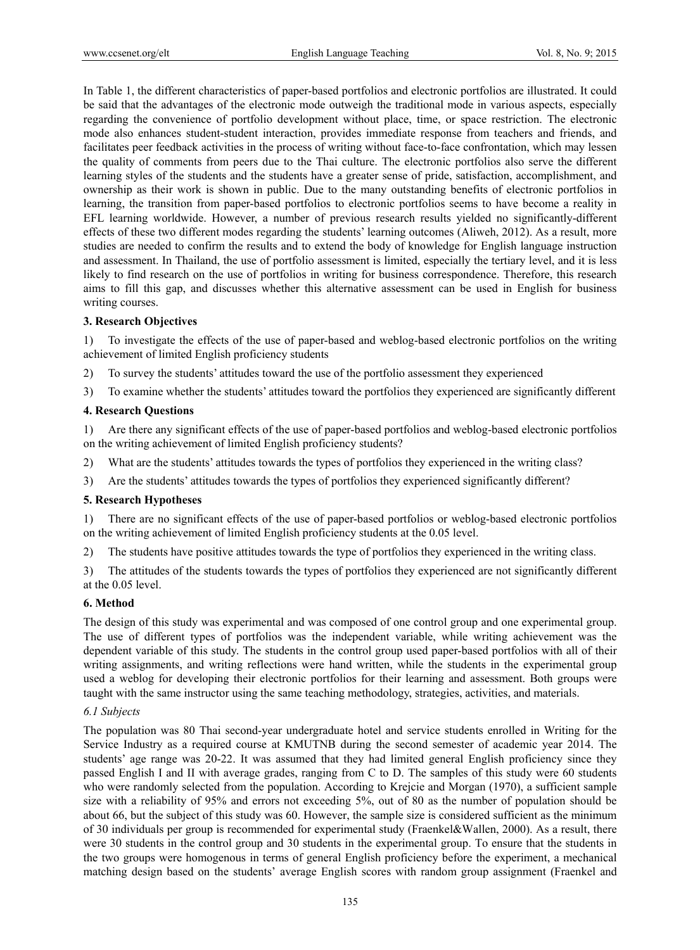In Table 1, the different characteristics of paper-based portfolios and electronic portfolios are illustrated. It could be said that the advantages of the electronic mode outweigh the traditional mode in various aspects, especially regarding the convenience of portfolio development without place, time, or space restriction. The electronic mode also enhances student-student interaction, provides immediate response from teachers and friends, and facilitates peer feedback activities in the process of writing without face-to-face confrontation, which may lessen the quality of comments from peers due to the Thai culture. The electronic portfolios also serve the different learning styles of the students and the students have a greater sense of pride, satisfaction, accomplishment, and ownership as their work is shown in public. Due to the many outstanding benefits of electronic portfolios in learning, the transition from paper-based portfolios to electronic portfolios seems to have become a reality in EFL learning worldwide. However, a number of previous research results yielded no significantly-different effects of these two different modes regarding the students' learning outcomes (Aliweh, 2012). As a result, more studies are needed to confirm the results and to extend the body of knowledge for English language instruction and assessment. In Thailand, the use of portfolio assessment is limited, especially the tertiary level, and it is less likely to find research on the use of portfolios in writing for business correspondence. Therefore, this research aims to fill this gap, and discusses whether this alternative assessment can be used in English for business writing courses.

## **3. Research Objectives**

1) To investigate the effects of the use of paper-based and weblog-based electronic portfolios on the writing achievement of limited English proficiency students

2) To survey the students' attitudes toward the use of the portfolio assessment they experienced

3) To examine whether the students' attitudes toward the portfolios they experienced are significantly different

## **4. Research Questions**

1) Are there any significant effects of the use of paper-based portfolios and weblog-based electronic portfolios on the writing achievement of limited English proficiency students?

- 2) What are the students' attitudes towards the types of portfolios they experienced in the writing class?
- 3) Are the students' attitudes towards the types of portfolios they experienced significantly different?

## **5. Research Hypotheses**

1) There are no significant effects of the use of paper-based portfolios or weblog-based electronic portfolios on the writing achievement of limited English proficiency students at the 0.05 level.

2) The students have positive attitudes towards the type of portfolios they experienced in the writing class.

3) The attitudes of the students towards the types of portfolios they experienced are not significantly different at the 0.05 level.

## **6. Method**

The design of this study was experimental and was composed of one control group and one experimental group. The use of different types of portfolios was the independent variable, while writing achievement was the dependent variable of this study. The students in the control group used paper-based portfolios with all of their writing assignments, and writing reflections were hand written, while the students in the experimental group used a weblog for developing their electronic portfolios for their learning and assessment. Both groups were taught with the same instructor using the same teaching methodology, strategies, activities, and materials.

## *6.1 Subjects*

The population was 80 Thai second-year undergraduate hotel and service students enrolled in Writing for the Service Industry as a required course at KMUTNB during the second semester of academic year 2014. The students' age range was 20-22. It was assumed that they had limited general English proficiency since they passed English I and II with average grades, ranging from C to D. The samples of this study were 60 students who were randomly selected from the population. According to Krejcie and Morgan (1970), a sufficient sample size with a reliability of 95% and errors not exceeding 5%, out of 80 as the number of population should be about 66, but the subject of this study was 60. However, the sample size is considered sufficient as the minimum of 30 individuals per group is recommended for experimental study (Fraenkel&Wallen, 2000). As a result, there were 30 students in the control group and 30 students in the experimental group. To ensure that the students in the two groups were homogenous in terms of general English proficiency before the experiment, a mechanical matching design based on the students' average English scores with random group assignment (Fraenkel and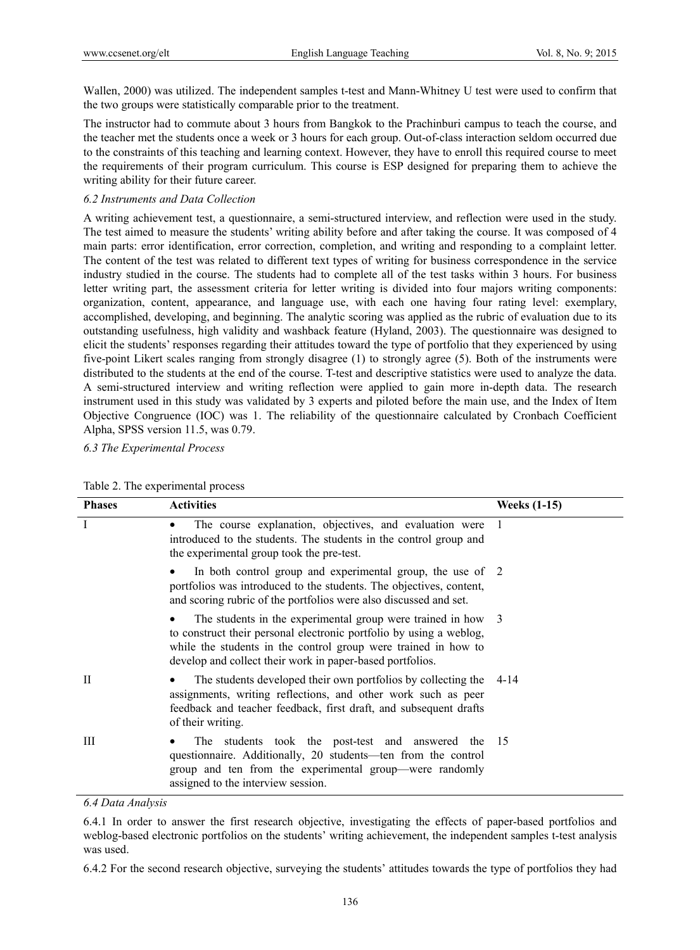Wallen, 2000) was utilized. The independent samples t-test and Mann-Whitney U test were used to confirm that the two groups were statistically comparable prior to the treatment.

The instructor had to commute about 3 hours from Bangkok to the Prachinburi campus to teach the course, and the teacher met the students once a week or 3 hours for each group. Out-of-class interaction seldom occurred due to the constraints of this teaching and learning context. However, they have to enroll this required course to meet the requirements of their program curriculum. This course is ESP designed for preparing them to achieve the writing ability for their future career.

## *6.2 Instruments and Data Collection*

A writing achievement test, a questionnaire, a semi-structured interview, and reflection were used in the study. The test aimed to measure the students' writing ability before and after taking the course. It was composed of 4 main parts: error identification, error correction, completion, and writing and responding to a complaint letter. The content of the test was related to different text types of writing for business correspondence in the service industry studied in the course. The students had to complete all of the test tasks within 3 hours. For business letter writing part, the assessment criteria for letter writing is divided into four majors writing components: organization, content, appearance, and language use, with each one having four rating level: exemplary, accomplished, developing, and beginning. The analytic scoring was applied as the rubric of evaluation due to its outstanding usefulness, high validity and washback feature (Hyland, 2003). The questionnaire was designed to elicit the students' responses regarding their attitudes toward the type of portfolio that they experienced by using five-point Likert scales ranging from strongly disagree (1) to strongly agree (5). Both of the instruments were distributed to the students at the end of the course. T-test and descriptive statistics were used to analyze the data. A semi-structured interview and writing reflection were applied to gain more in-depth data. The research instrument used in this study was validated by 3 experts and piloted before the main use, and the Index of Item Objective Congruence (IOC) was 1. The reliability of the questionnaire calculated by Cronbach Coefficient Alpha, SPSS version 11.5, was 0.79.

*6.3 The Experimental Process* 

| <b>Phases</b> | <b>Activities</b>                                                                                                                                                                                                                                                  | <b>Weeks (1-15)</b> |
|---------------|--------------------------------------------------------------------------------------------------------------------------------------------------------------------------------------------------------------------------------------------------------------------|---------------------|
| I             | The course explanation, objectives, and evaluation were 1<br>introduced to the students. The students in the control group and<br>the experimental group took the pre-test.                                                                                        |                     |
|               | In both control group and experimental group, the use of 2<br>portfolios was introduced to the students. The objectives, content,<br>and scoring rubric of the portfolios were also discussed and set.                                                             |                     |
|               | The students in the experimental group were trained in how 3<br>to construct their personal electronic portfolio by using a weblog,<br>while the students in the control group were trained in how to<br>develop and collect their work in paper-based portfolios. |                     |
| П             | The students developed their own portfolios by collecting the<br>assignments, writing reflections, and other work such as peer<br>feedback and teacher feedback, first draft, and subsequent drafts<br>of their writing.                                           | $4 - 14$            |
| Ш             | The students took the post-test and answered the 15<br>questionnaire. Additionally, 20 students—ten from the control<br>group and ten from the experimental group—were randomly<br>assigned to the interview session.                                              |                     |

Table 2. The experimental process

*<sup>6.4</sup> Data Analysis* 

<sup>6.4.1</sup> In order to answer the first research objective, investigating the effects of paper-based portfolios and weblog-based electronic portfolios on the students' writing achievement, the independent samples t-test analysis was used.

<sup>6.4.2</sup> For the second research objective, surveying the students' attitudes towards the type of portfolios they had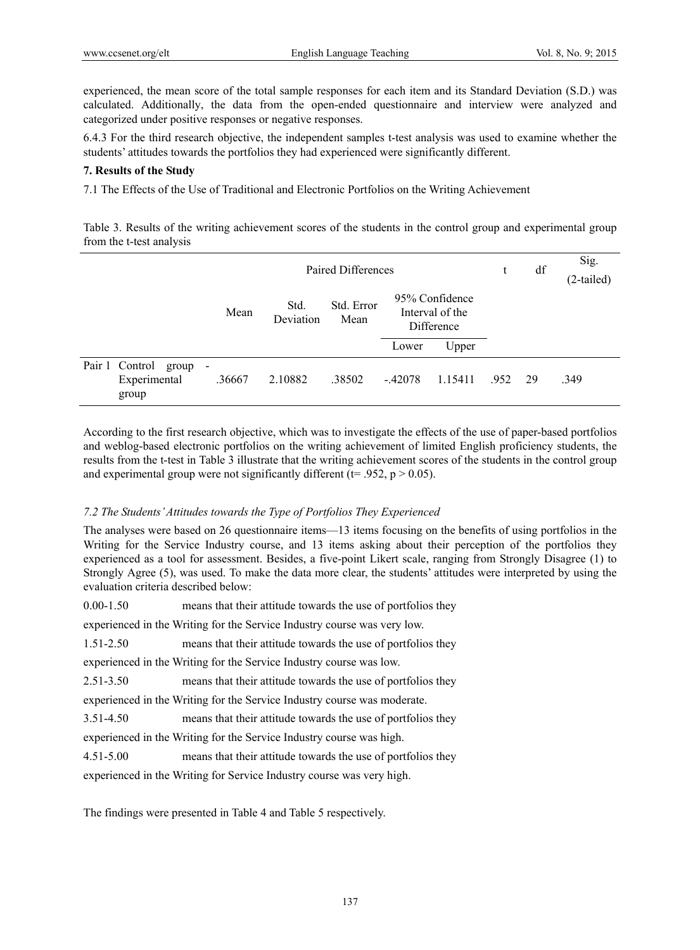experienced, the mean score of the total sample responses for each item and its Standard Deviation (S.D.) was calculated. Additionally, the data from the open-ended questionnaire and interview were analyzed and categorized under positive responses or negative responses.

6.4.3 For the third research objective, the independent samples t-test analysis was used to examine whether the students' attitudes towards the portfolios they had experienced were significantly different.

## **7. Results of the Study**

7.1 The Effects of the Use of Traditional and Electronic Portfolios on the Writing Achievement

Table 3. Results of the writing achievement scores of the students in the control group and experimental group from the t-test analysis

| Paired Differences |                                                  |                          |                   |                    |                                                 | df      | Sig.<br>$(2-tailed)$ |    |      |
|--------------------|--------------------------------------------------|--------------------------|-------------------|--------------------|-------------------------------------------------|---------|----------------------|----|------|
|                    |                                                  | Mean                     | Std.<br>Deviation | Std. Error<br>Mean | 95% Confidence<br>Interval of the<br>Difference |         |                      |    |      |
|                    |                                                  |                          |                   |                    | Lower                                           | Upper   |                      |    |      |
|                    | Pair 1 Control<br>group<br>Experimental<br>group | $\blacksquare$<br>.36667 | 2.10882           | .38502             | $-.42078$                                       | 1.15411 | .952                 | 29 | .349 |

According to the first research objective, which was to investigate the effects of the use of paper-based portfolios and weblog-based electronic portfolios on the writing achievement of limited English proficiency students, the results from the t-test in Table 3 illustrate that the writing achievement scores of the students in the control group and experimental group were not significantly different ( $t$ = .952, p > 0.05).

## *7.2 The Students' Attitudes towards the Type of Portfolios They Experienced*

The analyses were based on 26 questionnaire items—13 items focusing on the benefits of using portfolios in the Writing for the Service Industry course, and 13 items asking about their perception of the portfolios they experienced as a tool for assessment. Besides, a five-point Likert scale, ranging from Strongly Disagree (1) to Strongly Agree (5), was used. To make the data more clear, the students' attitudes were interpreted by using the evaluation criteria described below:

0.00-1.50 means that their attitude towards the use of portfolios they

experienced in the Writing for the Service Industry course was very low.

1.51-2.50 means that their attitude towards the use of portfolios they

experienced in the Writing for the Service Industry course was low.

2.51-3.50 means that their attitude towards the use of portfolios they

experienced in the Writing for the Service Industry course was moderate.

3.51-4.50 means that their attitude towards the use of portfolios they

experienced in the Writing for the Service Industry course was high.

4.51-5.00 means that their attitude towards the use of portfolios they

experienced in the Writing for Service Industry course was very high.

The findings were presented in Table 4 and Table 5 respectively.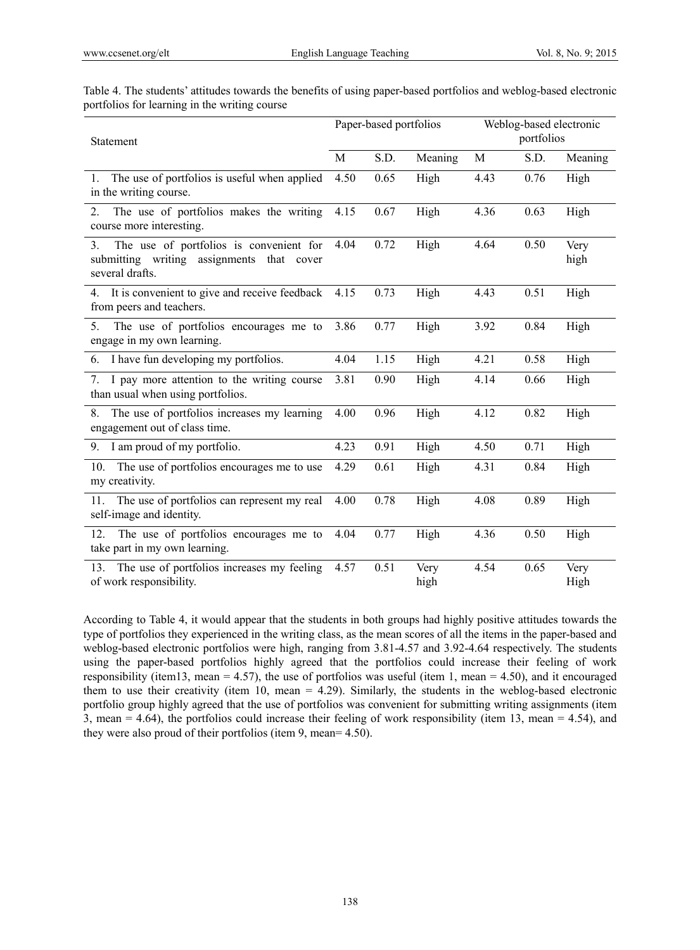|                                                                                                               |      | Paper-based portfolios |              | Weblog-based electronic |      |              |  |
|---------------------------------------------------------------------------------------------------------------|------|------------------------|--------------|-------------------------|------|--------------|--|
| <b>Statement</b>                                                                                              |      |                        |              | portfolios              |      |              |  |
|                                                                                                               | M    | S.D.                   | Meaning      | M                       | S.D. | Meaning      |  |
| The use of portfolios is useful when applied<br>$1_{-}$<br>in the writing course.                             | 4.50 | 0.65                   | High         | 4.43                    | 0.76 | High         |  |
| The use of portfolios makes the writing<br>$2_{-}$<br>course more interesting.                                | 4.15 | 0.67                   | High         | 4.36                    | 0.63 | High         |  |
| The use of portfolios is convenient for<br>3.<br>submitting writing assignments that cover<br>several drafts. | 4.04 | 0.72                   | High         | 4.64                    | 0.50 | Very<br>high |  |
| $\overline{4}$ . It is convenient to give and receive feedback<br>from peers and teachers.                    | 4.15 | 0.73                   | High         | 4.43                    | 0.51 | High         |  |
| The use of portfolios encourages me to<br>$5_{-}$<br>engage in my own learning.                               | 3.86 | 0.77                   | High         | 3.92                    | 0.84 | High         |  |
| 6. I have fun developing my portfolios.                                                                       | 4.04 | 1.15                   | High         | 4.21                    | 0.58 | High         |  |
| 7. I pay more attention to the writing course<br>than usual when using portfolios.                            | 3.81 | 0.90                   | High         | 4.14                    | 0.66 | High         |  |
| 8. The use of portfolios increases my learning<br>engagement out of class time.                               | 4.00 | 0.96                   | High         | 4.12                    | 0.82 | High         |  |
| 9. I am proud of my portfolio.                                                                                | 4.23 | 0.91                   | High         | 4.50                    | 0.71 | High         |  |
| The use of portfolios encourages me to use<br>10.<br>my creativity.                                           | 4.29 | 0.61                   | High         | 4.31                    | 0.84 | High         |  |
| The use of portfolios can represent my real<br>11.<br>self-image and identity.                                | 4.00 | 0.78                   | High         | 4.08                    | 0.89 | High         |  |
| The use of portfolios encourages me to<br>12.<br>take part in my own learning.                                | 4.04 | 0.77                   | High         | 4.36                    | 0.50 | High         |  |
| The use of portfolios increases my feeling<br>13.<br>of work responsibility.                                  | 4.57 | 0.51                   | Very<br>high | 4.54                    | 0.65 | Very<br>High |  |

Table 4. The students' attitudes towards the benefits of using paper-based portfolios and weblog-based electronic portfolios for learning in the writing course

According to Table 4, it would appear that the students in both groups had highly positive attitudes towards the type of portfolios they experienced in the writing class, as the mean scores of all the items in the paper-based and weblog-based electronic portfolios were high, ranging from 3.81-4.57 and 3.92-4.64 respectively. The students using the paper-based portfolios highly agreed that the portfolios could increase their feeling of work responsibility (item13, mean = 4.57), the use of portfolios was useful (item 1, mean = 4.50), and it encouraged them to use their creativity (item 10, mean  $= 4.29$ ). Similarly, the students in the weblog-based electronic portfolio group highly agreed that the use of portfolios was convenient for submitting writing assignments (item 3, mean = 4.64), the portfolios could increase their feeling of work responsibility (item 13, mean = 4.54), and they were also proud of their portfolios (item 9, mean= 4.50).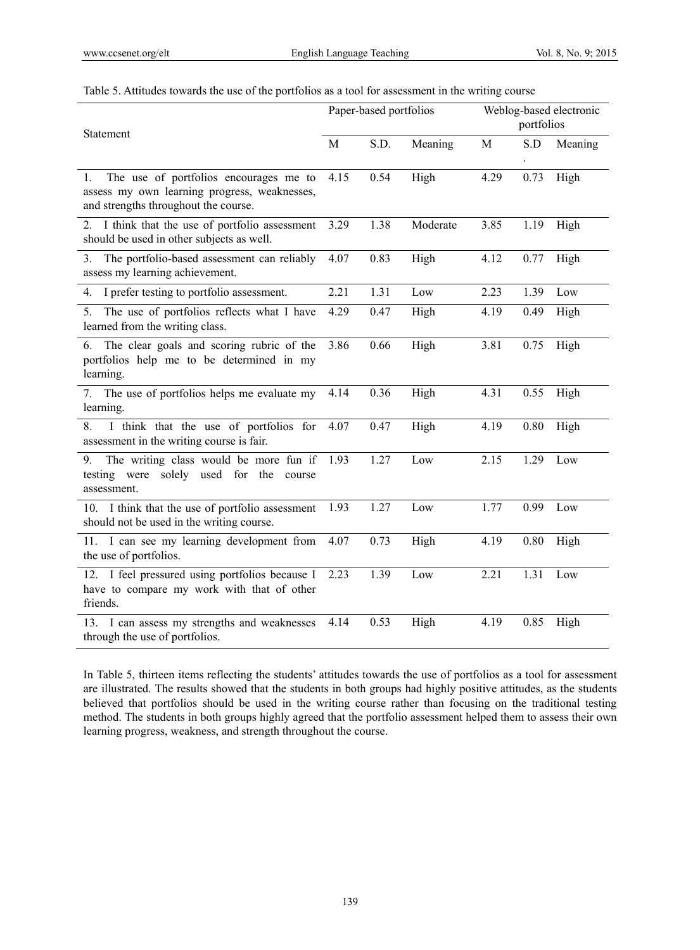| <b>Statement</b>                                                                                                                     |      | Paper-based portfolios |          |      | Weblog-based electronic<br>portfolios |         |  |
|--------------------------------------------------------------------------------------------------------------------------------------|------|------------------------|----------|------|---------------------------------------|---------|--|
|                                                                                                                                      | M    | S.D.                   | Meaning  | M    | S.D                                   | Meaning |  |
| The use of portfolios encourages me to<br>1.<br>assess my own learning progress, weaknesses,<br>and strengths throughout the course. | 4.15 | 0.54                   | High     | 4.29 | 0.73                                  | High    |  |
| 2. I think that the use of portfolio assessment<br>should be used in other subjects as well.                                         | 3.29 | 1.38                   | Moderate | 3.85 | 1.19                                  | High    |  |
| The portfolio-based assessment can reliably<br>$3_{-}$<br>assess my learning achievement.                                            | 4.07 | 0.83                   | High     | 4.12 | 0.77                                  | High    |  |
| 4. I prefer testing to portfolio assessment.                                                                                         | 2.21 | 1.31                   | Low      | 2.23 | 1.39                                  | Low     |  |
| 5. The use of portfolios reflects what I have<br>learned from the writing class.                                                     | 4.29 | 0.47                   | High     | 4.19 | 0.49                                  | High    |  |
| The clear goals and scoring rubric of the<br>6.<br>portfolios help me to be determined in my<br>learning.                            | 3.86 | 0.66                   | High     | 3.81 | 0.75                                  | High    |  |
| 7. The use of portfolios helps me evaluate my<br>learning.                                                                           | 4.14 | 0.36                   | High     | 4.31 | 0.55                                  | High    |  |
| I think that the use of portfolios for<br>8.<br>assessment in the writing course is fair.                                            | 4.07 | 0.47                   | High     | 4.19 | 0.80                                  | High    |  |
| The writing class would be more fun if<br>9.<br>testing were solely used for the<br>course<br>assessment.                            | 1.93 | 1.27                   | Low      | 2.15 | 1.29                                  | Low     |  |
| 10. I think that the use of portfolio assessment<br>should not be used in the writing course.                                        | 1.93 | 1.27                   | Low      | 1.77 | 0.99                                  | Low     |  |
| 11. I can see my learning development from<br>the use of portfolios.                                                                 | 4.07 | 0.73                   | High     | 4.19 | 0.80                                  | High    |  |
| 12. I feel pressured using portfolios because I<br>have to compare my work with that of other<br>friends.                            | 2.23 | 1.39                   | Low      | 2.21 | 1.31                                  | Low     |  |
| I can assess my strengths and weaknesses<br>13.<br>through the use of portfolios.                                                    | 4.14 | 0.53                   | High     | 4.19 | 0.85                                  | High    |  |

#### Table 5. Attitudes towards the use of the portfolios as a tool for assessment in the writing course

In Table 5, thirteen items reflecting the students' attitudes towards the use of portfolios as a tool for assessment are illustrated. The results showed that the students in both groups had highly positive attitudes, as the students believed that portfolios should be used in the writing course rather than focusing on the traditional testing method. The students in both groups highly agreed that the portfolio assessment helped them to assess their own learning progress, weakness, and strength throughout the course.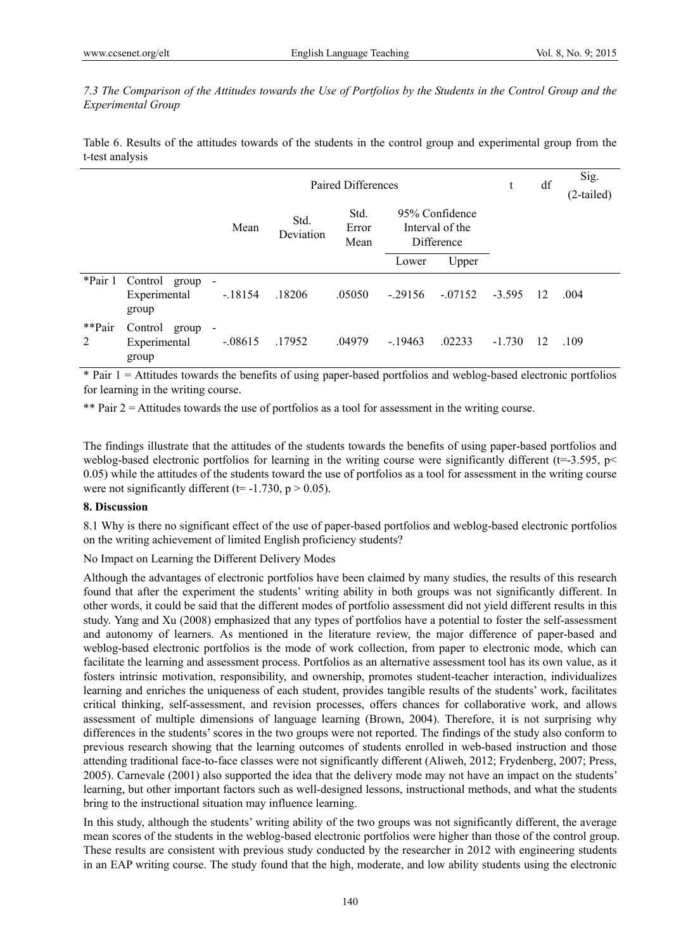*7.3 The Comparison of the Attitudes towards the Use of Portfolios by the Students in the Control Group and the Experimental Group* 

Table 6. Results of the attitudes towards of the students in the control group and experimental group from the t-test analysis

|             |                                           |                                           | Paired Differences |                       |                                                 |           |          | df  | Sig.<br>$(2-tailed)$ |
|-------------|-------------------------------------------|-------------------------------------------|--------------------|-----------------------|-------------------------------------------------|-----------|----------|-----|----------------------|
|             |                                           | Mean                                      | Std.<br>Deviation  | Std.<br>Error<br>Mean | 95% Confidence<br>Interval of the<br>Difference |           |          |     |                      |
|             |                                           |                                           |                    |                       | Lower                                           | Upper     |          |     |                      |
| *Pair 1     | Control<br>group<br>Experimental<br>group | $\overline{\phantom{a}}$<br>$-.18154$     | .18206             | .05050                | $-29156$                                        | $-.07152$ | $-3.595$ | -12 | .004                 |
| **Pair<br>2 | Control<br>group<br>Experimental<br>group | $\qquad \qquad \blacksquare$<br>$-.08615$ | .17952             | .04979                | $-.19463$                                       | .02233    | $-1.730$ | 12  | .109                 |

\* Pair 1 = Attitudes towards the benefits of using paper-based portfolios and weblog-based electronic portfolios for learning in the writing course.

\*\* Pair 2 = Attitudes towards the use of portfolios as a tool for assessment in the writing course.

The findings illustrate that the attitudes of the students towards the benefits of using paper-based portfolios and weblog-based electronic portfolios for learning in the writing course were significantly different ( $t=3.595$ ,  $p<$ 0.05) while the attitudes of the students toward the use of portfolios as a tool for assessment in the writing course were not significantly different ( $t = -1.730$ ,  $p > 0.05$ ).

## **8. Discussion**

8.1 Why is there no significant effect of the use of paper-based portfolios and weblog-based electronic portfolios on the writing achievement of limited English proficiency students?

No Impact on Learning the Different Delivery Modes

Although the advantages of electronic portfolios have been claimed by many studies, the results of this research found that after the experiment the students' writing ability in both groups was not significantly different. In other words, it could be said that the different modes of portfolio assessment did not yield different results in this study. Yang and Xu (2008) emphasized that any types of portfolios have a potential to foster the self-assessment and autonomy of learners. As mentioned in the literature review, the major difference of paper-based and weblog-based electronic portfolios is the mode of work collection, from paper to electronic mode, which can facilitate the learning and assessment process. Portfolios as an alternative assessment tool has its own value, as it fosters intrinsic motivation, responsibility, and ownership, promotes student-teacher interaction, individualizes learning and enriches the uniqueness of each student, provides tangible results of the students' work, facilitates critical thinking, self-assessment, and revision processes, offers chances for collaborative work, and allows assessment of multiple dimensions of language learning (Brown, 2004). Therefore, it is not surprising why differences in the students' scores in the two groups were not reported. The findings of the study also conform to previous research showing that the learning outcomes of students enrolled in web-based instruction and those attending traditional face-to-face classes were not significantly different (Aliweh, 2012; Frydenberg, 2007; Press, 2005). Carnevale (2001) also supported the idea that the delivery mode may not have an impact on the students' learning, but other important factors such as well-designed lessons, instructional methods, and what the students bring to the instructional situation may influence learning.

In this study, although the students' writing ability of the two groups was not significantly different, the average mean scores of the students in the weblog-based electronic portfolios were higher than those of the control group. These results are consistent with previous study conducted by the researcher in 2012 with engineering students in an EAP writing course. The study found that the high, moderate, and low ability students using the electronic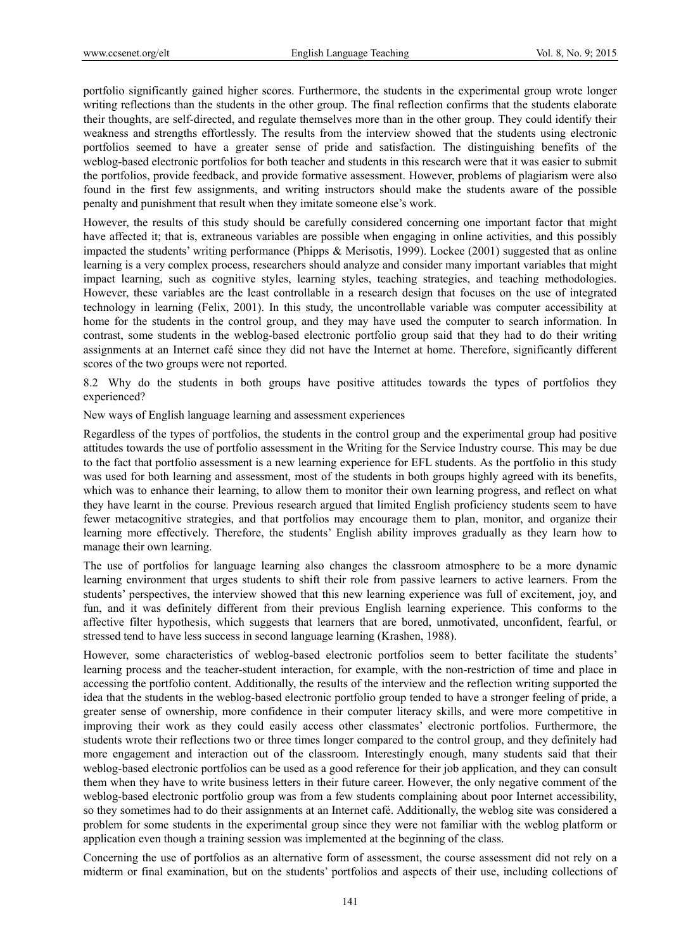portfolio significantly gained higher scores. Furthermore, the students in the experimental group wrote longer writing reflections than the students in the other group. The final reflection confirms that the students elaborate their thoughts, are self-directed, and regulate themselves more than in the other group. They could identify their weakness and strengths effortlessly. The results from the interview showed that the students using electronic portfolios seemed to have a greater sense of pride and satisfaction. The distinguishing benefits of the weblog-based electronic portfolios for both teacher and students in this research were that it was easier to submit the portfolios, provide feedback, and provide formative assessment. However, problems of plagiarism were also found in the first few assignments, and writing instructors should make the students aware of the possible penalty and punishment that result when they imitate someone else's work.

However, the results of this study should be carefully considered concerning one important factor that might have affected it; that is, extraneous variables are possible when engaging in online activities, and this possibly impacted the students' writing performance (Phipps & Merisotis, 1999). Lockee (2001) suggested that as online learning is a very complex process, researchers should analyze and consider many important variables that might impact learning, such as cognitive styles, learning styles, teaching strategies, and teaching methodologies. However, these variables are the least controllable in a research design that focuses on the use of integrated technology in learning (Felix, 2001). In this study, the uncontrollable variable was computer accessibility at home for the students in the control group, and they may have used the computer to search information. In contrast, some students in the weblog-based electronic portfolio group said that they had to do their writing assignments at an Internet café since they did not have the Internet at home. Therefore, significantly different scores of the two groups were not reported.

8.2 Why do the students in both groups have positive attitudes towards the types of portfolios they experienced?

New ways of English language learning and assessment experiences

Regardless of the types of portfolios, the students in the control group and the experimental group had positive attitudes towards the use of portfolio assessment in the Writing for the Service Industry course. This may be due to the fact that portfolio assessment is a new learning experience for EFL students. As the portfolio in this study was used for both learning and assessment, most of the students in both groups highly agreed with its benefits, which was to enhance their learning, to allow them to monitor their own learning progress, and reflect on what they have learnt in the course. Previous research argued that limited English proficiency students seem to have fewer metacognitive strategies, and that portfolios may encourage them to plan, monitor, and organize their learning more effectively. Therefore, the students' English ability improves gradually as they learn how to manage their own learning.

The use of portfolios for language learning also changes the classroom atmosphere to be a more dynamic learning environment that urges students to shift their role from passive learners to active learners. From the students' perspectives, the interview showed that this new learning experience was full of excitement, joy, and fun, and it was definitely different from their previous English learning experience. This conforms to the affective filter hypothesis, which suggests that learners that are bored, unmotivated, unconfident, fearful, or stressed tend to have less success in second language learning (Krashen, 1988).

However, some characteristics of weblog-based electronic portfolios seem to better facilitate the students' learning process and the teacher-student interaction, for example, with the non-restriction of time and place in accessing the portfolio content. Additionally, the results of the interview and the reflection writing supported the idea that the students in the weblog-based electronic portfolio group tended to have a stronger feeling of pride, a greater sense of ownership, more confidence in their computer literacy skills, and were more competitive in improving their work as they could easily access other classmates' electronic portfolios. Furthermore, the students wrote their reflections two or three times longer compared to the control group, and they definitely had more engagement and interaction out of the classroom. Interestingly enough, many students said that their weblog-based electronic portfolios can be used as a good reference for their job application, and they can consult them when they have to write business letters in their future career. However, the only negative comment of the weblog-based electronic portfolio group was from a few students complaining about poor Internet accessibility, so they sometimes had to do their assignments at an Internet café. Additionally, the weblog site was considered a problem for some students in the experimental group since they were not familiar with the weblog platform or application even though a training session was implemented at the beginning of the class.

Concerning the use of portfolios as an alternative form of assessment, the course assessment did not rely on a midterm or final examination, but on the students' portfolios and aspects of their use, including collections of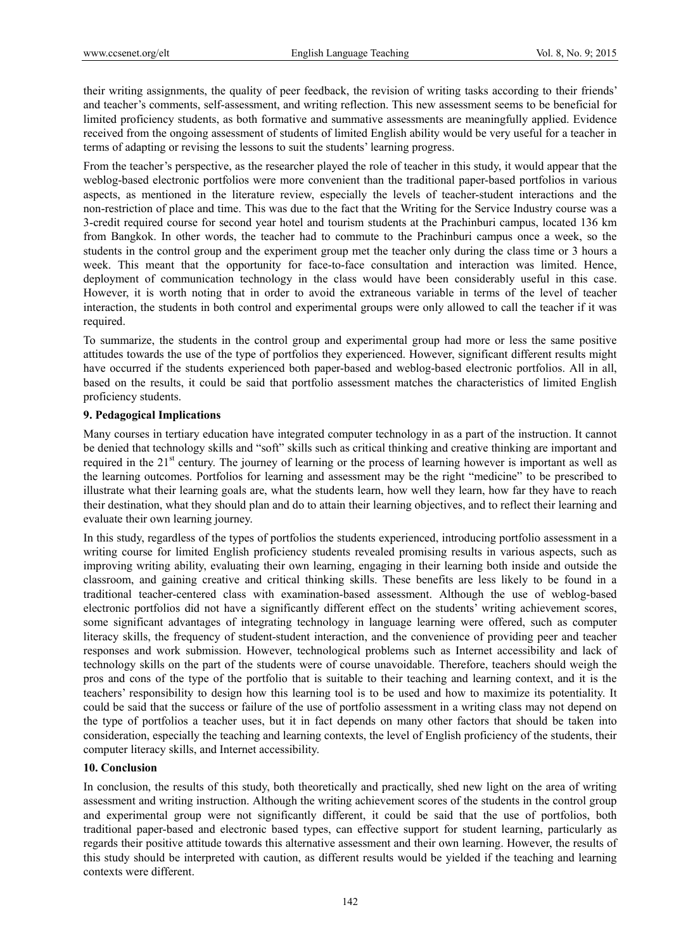their writing assignments, the quality of peer feedback, the revision of writing tasks according to their friends' and teacher's comments, self-assessment, and writing reflection. This new assessment seems to be beneficial for limited proficiency students, as both formative and summative assessments are meaningfully applied. Evidence received from the ongoing assessment of students of limited English ability would be very useful for a teacher in terms of adapting or revising the lessons to suit the students' learning progress.

From the teacher's perspective, as the researcher played the role of teacher in this study, it would appear that the weblog-based electronic portfolios were more convenient than the traditional paper-based portfolios in various aspects, as mentioned in the literature review, especially the levels of teacher-student interactions and the non-restriction of place and time. This was due to the fact that the Writing for the Service Industry course was a 3-credit required course for second year hotel and tourism students at the Prachinburi campus, located 136 km from Bangkok. In other words, the teacher had to commute to the Prachinburi campus once a week, so the students in the control group and the experiment group met the teacher only during the class time or 3 hours a week. This meant that the opportunity for face-to-face consultation and interaction was limited. Hence, deployment of communication technology in the class would have been considerably useful in this case. However, it is worth noting that in order to avoid the extraneous variable in terms of the level of teacher interaction, the students in both control and experimental groups were only allowed to call the teacher if it was required.

To summarize, the students in the control group and experimental group had more or less the same positive attitudes towards the use of the type of portfolios they experienced. However, significant different results might have occurred if the students experienced both paper-based and weblog-based electronic portfolios. All in all, based on the results, it could be said that portfolio assessment matches the characteristics of limited English proficiency students.

#### **9. Pedagogical Implications**

Many courses in tertiary education have integrated computer technology in as a part of the instruction. It cannot be denied that technology skills and "soft" skills such as critical thinking and creative thinking are important and required in the 21<sup>st</sup> century. The journey of learning or the process of learning however is important as well as the learning outcomes. Portfolios for learning and assessment may be the right "medicine" to be prescribed to illustrate what their learning goals are, what the students learn, how well they learn, how far they have to reach their destination, what they should plan and do to attain their learning objectives, and to reflect their learning and evaluate their own learning journey.

In this study, regardless of the types of portfolios the students experienced, introducing portfolio assessment in a writing course for limited English proficiency students revealed promising results in various aspects, such as improving writing ability, evaluating their own learning, engaging in their learning both inside and outside the classroom, and gaining creative and critical thinking skills. These benefits are less likely to be found in a traditional teacher-centered class with examination-based assessment. Although the use of weblog-based electronic portfolios did not have a significantly different effect on the students' writing achievement scores, some significant advantages of integrating technology in language learning were offered, such as computer literacy skills, the frequency of student-student interaction, and the convenience of providing peer and teacher responses and work submission. However, technological problems such as Internet accessibility and lack of technology skills on the part of the students were of course unavoidable. Therefore, teachers should weigh the pros and cons of the type of the portfolio that is suitable to their teaching and learning context, and it is the teachers' responsibility to design how this learning tool is to be used and how to maximize its potentiality. It could be said that the success or failure of the use of portfolio assessment in a writing class may not depend on the type of portfolios a teacher uses, but it in fact depends on many other factors that should be taken into consideration, especially the teaching and learning contexts, the level of English proficiency of the students, their computer literacy skills, and Internet accessibility.

## **10. Conclusion**

In conclusion, the results of this study, both theoretically and practically, shed new light on the area of writing assessment and writing instruction. Although the writing achievement scores of the students in the control group and experimental group were not significantly different, it could be said that the use of portfolios, both traditional paper-based and electronic based types, can effective support for student learning, particularly as regards their positive attitude towards this alternative assessment and their own learning. However, the results of this study should be interpreted with caution, as different results would be yielded if the teaching and learning contexts were different.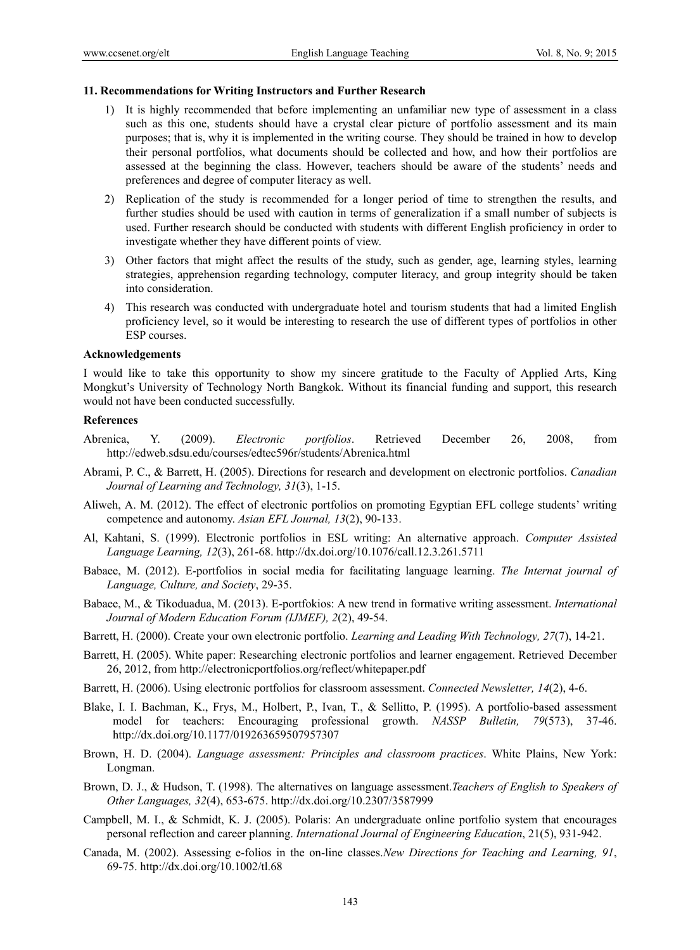#### **11. Recommendations for Writing Instructors and Further Research**

- 1) It is highly recommended that before implementing an unfamiliar new type of assessment in a class such as this one, students should have a crystal clear picture of portfolio assessment and its main purposes; that is, why it is implemented in the writing course. They should be trained in how to develop their personal portfolios, what documents should be collected and how, and how their portfolios are assessed at the beginning the class. However, teachers should be aware of the students' needs and preferences and degree of computer literacy as well.
- 2) Replication of the study is recommended for a longer period of time to strengthen the results, and further studies should be used with caution in terms of generalization if a small number of subjects is used. Further research should be conducted with students with different English proficiency in order to investigate whether they have different points of view.
- 3) Other factors that might affect the results of the study, such as gender, age, learning styles, learning strategies, apprehension regarding technology, computer literacy, and group integrity should be taken into consideration.
- 4) This research was conducted with undergraduate hotel and tourism students that had a limited English proficiency level, so it would be interesting to research the use of different types of portfolios in other ESP courses.

#### **Acknowledgements**

I would like to take this opportunity to show my sincere gratitude to the Faculty of Applied Arts, King Mongkut's University of Technology North Bangkok. Without its financial funding and support, this research would not have been conducted successfully.

#### **References**

- Abrenica, Y. (2009). *Electronic portfolios*. Retrieved December 26, 2008, from http://edweb.sdsu.edu/courses/edtec596r/students/Abrenica.html
- Abrami, P. C., & Barrett, H. (2005). Directions for research and development on electronic portfolios. *Canadian Journal of Learning and Technology, 31*(3), 1-15.
- Aliweh, A. M. (2012). The effect of electronic portfolios on promoting Egyptian EFL college students' writing competence and autonomy. *Asian EFL Journal, 13*(2), 90-133.
- Al, Kahtani, S. (1999). Electronic portfolios in ESL writing: An alternative approach. *Computer Assisted Language Learning, 12*(3), 261-68. http://dx.doi.org/10.1076/call.12.3.261.5711
- Babaee, M. (2012). E-portfolios in social media for facilitating language learning. *The Internat journal of Language, Culture, and Society*, 29-35.
- Babaee, M., & Tikoduadua, M. (2013). E-portfokios: A new trend in formative writing assessment. *International Journal of Modern Education Forum (IJMEF), 2*(2), 49-54.
- Barrett, H. (2000). Create your own electronic portfolio. *Learning and Leading With Technology, 27*(7), 14-21.
- Barrett, H. (2005). White paper: Researching electronic portfolios and learner engagement. Retrieved December 26, 2012, from http://electronicportfolios.org/reflect/whitepaper.pdf
- Barrett, H. (2006). Using electronic portfolios for classroom assessment. *Connected Newsletter, 14*(2), 4-6.
- Blake, I. I. Bachman, K., Frys, M., Holbert, P., Ivan, T., & Sellitto, P. (1995). A portfolio-based assessment model for teachers: Encouraging professional growth. *NASSP Bulletin, 79*(573), 37-46. http://dx.doi.org/10.1177/019263659507957307
- Brown, H. D. (2004). *Language assessment: Principles and classroom practices*. White Plains, New York: Longman.
- Brown, D. J., & Hudson, T. (1998). The alternatives on language assessment.*Teachers of English to Speakers of Other Languages, 32*(4), 653-675. http://dx.doi.org/10.2307/3587999
- Campbell, M. I., & Schmidt, K. J. (2005). Polaris: An undergraduate online portfolio system that encourages personal reflection and career planning. *International Journal of Engineering Education*, 21(5), 931-942.
- Canada, M. (2002). Assessing e-folios in the on-line classes.*New Directions for Teaching and Learning, 91*, 69-75. http://dx.doi.org/10.1002/tl.68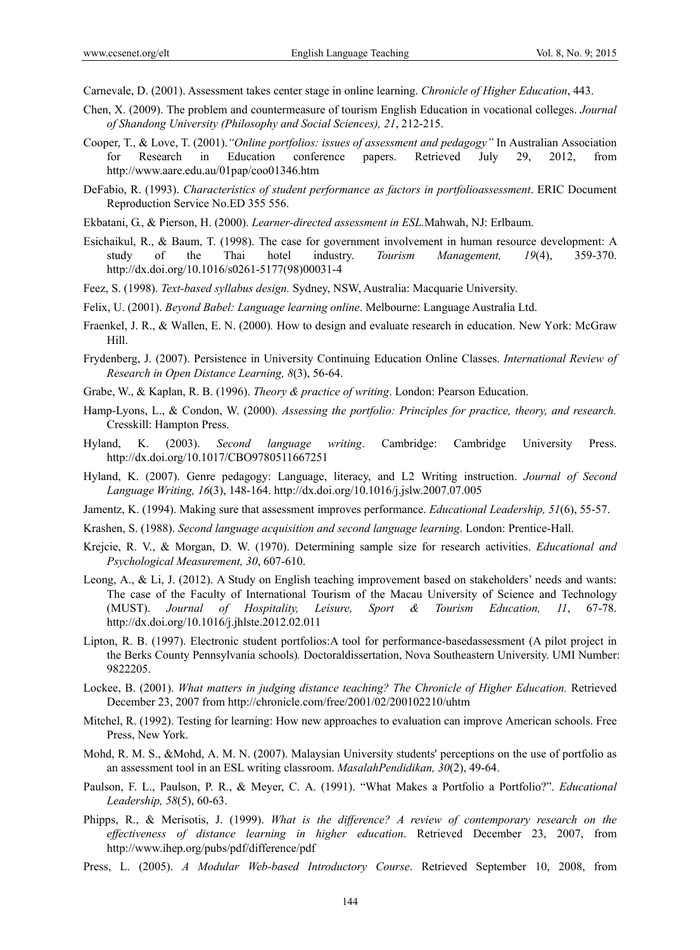Carnevale, D. (2001). Assessment takes center stage in online learning. *Chronicle of Higher Education*, 443.

- Chen, X. (2009). The problem and countermeasure of tourism English Education in vocational colleges. *Journal of Shandong University (Philosophy and Social Sciences), 21*, 212-215.
- Cooper, T., & Love, T. (2001).*"Online portfolios: issues of assessment and pedagogy"* In Australian Association for Research in Education conference papers. Retrieved July 29, 2012, from http://www.aare.edu.au/01pap/coo01346.htm
- DeFabio, R. (1993). *Characteristics of student performance as factors in portfolioassessment*. ERIC Document Reproduction Service No.ED 355 556.
- Ekbatani, G., & Pierson, H. (2000). *Learner-directed assessment in ESL.*Mahwah, NJ: Erlbaum.
- Esichaikul, R., & Baum, T. (1998). The case for government involvement in human resource development: A study of the Thai hotel industry. *Tourism Management, 19*(4), 359-370. http://dx.doi.org/10.1016/s0261-5177(98)00031-4
- Feez, S. (1998). *Text-based syllabus design.* Sydney, NSW, Australia: Macquarie University.
- Felix, U. (2001). *Beyond Babel: Language learning online*. Melbourne: Language Australia Ltd.
- Fraenkel, J. R., & Wallen, E. N. (2000)*.* How to design and evaluate research in education. New York: McGraw Hill.
- Frydenberg, J. (2007). Persistence in University Continuing Education Online Classes. *International Review of Research in Open Distance Learning, 8*(3), 56-64.
- Grabe, W., & Kaplan, R. B. (1996). *Theory & practice of writing*. London: Pearson Education.
- Hamp-Lyons, L., & Condon, W. (2000). *Assessing the portfolio: Principles for practice, theory, and research.* Cresskill: Hampton Press.
- Hyland, K. (2003). *Second language writing*. Cambridge: Cambridge University Press. http://dx.doi.org/10.1017/CBO9780511667251
- Hyland, K. (2007). Genre pedagogy: Language, literacy, and L2 Writing instruction. *Journal of Second Language Writing, 16*(3), 148-164. http://dx.doi.org/10.1016/j.jslw.2007.07.005
- Jamentz, K. (1994). Making sure that assessment improves performance. *Educational Leadership, 51*(6), 55-57.
- Krashen, S. (1988). *Second language acquisition and second language learning*. London: Prentice-Hall.
- Krejcie, R. V., & Morgan, D. W. (1970). Determining sample size for research activities. *Educational and Psychological Measurement, 30*, 607-610.
- Leong, A., & Li, J. (2012). A Study on English teaching improvement based on stakeholders' needs and wants: The case of the Faculty of International Tourism of the Macau University of Science and Technology (MUST). *Journal of Hospitality, Leisure, Sport & Tourism Education, 11*, 67-78. http://dx.doi.org/10.1016/j.jhlste.2012.02.011
- Lipton, R. B. (1997). Electronic student portfolios:A tool for performance-basedassessment (A pilot project in the Berks County Pennsylvania schools)*.* Doctoraldissertation, Nova Southeastern University. UMI Number: 9822205.
- Lockee, B. (2001). *What matters in judging distance teaching? The Chronicle of Higher Education.* Retrieved December 23, 2007 from http://chronicle.com/free/2001/02/200102210/uhtm
- Mitchel, R. (1992). Testing for learning: How new approaches to evaluation can improve American schools. Free Press, New York.
- Mohd, R. M. S., &Mohd, A. M. N. (2007). Malaysian University students' perceptions on the use of portfolio as an assessment tool in an ESL writing classroom. *MasalahPendidikan, 30*(2), 49-64.
- Paulson, F. L., Paulson, P. R., & Meyer, C. A. (1991). "What Makes a Portfolio a Portfolio?". *Educational Leadership, 58*(5), 60-63.
- Phipps, R., & Merisotis, J. (1999). *What is the difference? A review of contemporary research on the effectiveness of distance learning in higher education*. Retrieved December 23, 2007, from http://www.ihep.org/pubs/pdf/difference/pdf
- Press, L. (2005). *A Modular Web-based Introductory Course*. Retrieved September 10, 2008, from